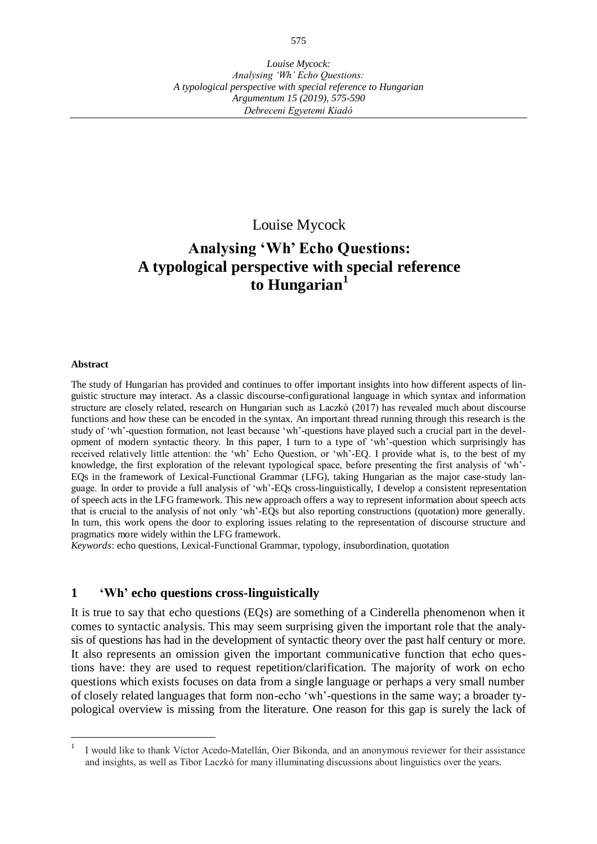# Louise Mycock

# **Analysing 'Wh' Echo Questions: A typological perspective with special reference to Hungarian<sup>1</sup>**

#### **Abstract**

The study of Hungarian has provided and continues to offer important insights into how different aspects of linguistic structure may interact. As a classic discourse-configurational language in which syntax and information structure are closely related, research on Hungarian such as Laczkó (2017) has revealed much about discourse functions and how these can be encoded in the syntax. An important thread running through this research is the study of 'wh'-question formation, not least because 'wh'-questions have played such a crucial part in the development of modern syntactic theory. In this paper, I turn to a type of 'wh'-question which surprisingly has received relatively little attention: the 'wh' Echo Question, or 'wh'-EQ. I provide what is, to the best of my knowledge, the first exploration of the relevant typological space, before presenting the first analysis of 'wh'- EQs in the framework of Lexical-Functional Grammar (LFG), taking Hungarian as the major case-study language. In order to provide a full analysis of 'wh'-EQs cross-linguistically, I develop a consistent representation of speech acts in the LFG framework. This new approach offers a way to represent information about speech acts that is crucial to the analysis of not only 'wh'-EQs but also reporting constructions (quotation) more generally. In turn, this work opens the door to exploring issues relating to the representation of discourse structure and pragmatics more widely within the LFG framework.

*Keywords*: echo questions, Lexical-Functional Grammar, typology, insubordination, quotation

#### **1 'Wh' echo questions cross-linguistically**

It is true to say that echo questions (EQs) are something of a Cinderella phenomenon when it comes to syntactic analysis. This may seem surprising given the important role that the analysis of questions has had in the development of syntactic theory over the past half century or more. It also represents an omission given the important communicative function that echo questions have: they are used to request repetition/clarification. The majority of work on echo questions which exists focuses on data from a single language or perhaps a very small number of closely related languages that form non-echo 'wh'-questions in the same way; a broader typological overview is missing from the literature. One reason for this gap is surely the lack of

<sup>1</sup> I would like to thank Víctor Acedo-Matellán, Oier Bikonda, and an anonymous reviewer for their assistance and insights, as well as Tibor Laczkó for many illuminating discussions about linguistics over the years.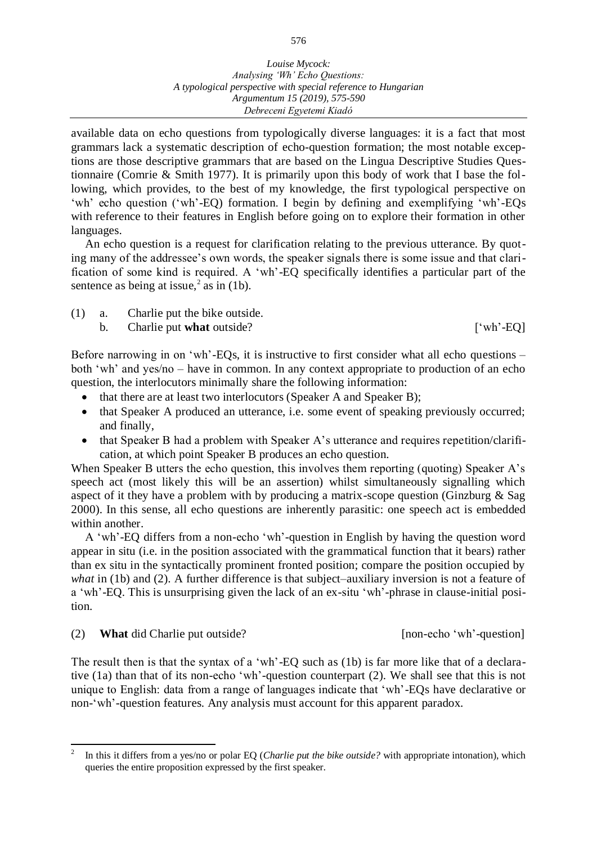*Louise Mycock: Analysing 'Wh' Echo Questions: A typological perspective with special reference to Hungarian Argumentum 15 (2019), 575-590 Debreceni Egyetemi Kiadó*

available data on echo questions from typologically diverse languages: it is a fact that most grammars lack a systematic description of echo-question formation; the most notable exceptions are those descriptive grammars that are based on the Lingua Descriptive Studies Questionnaire (Comrie & Smith 1977). It is primarily upon this body of work that I base the following, which provides, to the best of my knowledge, the first typological perspective on 'wh' echo question ('wh'-EQ) formation. I begin by defining and exemplifying 'wh'-EQs with reference to their features in English before going on to explore their formation in other languages.

An echo question is a request for clarification relating to the previous utterance. By quoting many of the addressee's own words, the speaker signals there is some issue and that clarification of some kind is required. A 'wh'-EQ specifically identifies a particular part of the sentence as being at issue,<sup>2</sup> as in [\(1b](#page-1-0)).

<span id="page-1-0"></span>(1) a. Charlie put the bike outside.

Before narrowing in on 'wh'-EQs, it is instructive to first consider what all echo questions – both 'wh' and yes/no – have in common. In any context appropriate to production of an echo question, the interlocutors minimally share the following information:

- that there are at least two interlocutors (Speaker A and Speaker B);
- that Speaker A produced an utterance, i.e. some event of speaking previously occurred; and finally,
- that Speaker B had a problem with Speaker A's utterance and requires repetition/clarification, at which point Speaker B produces an echo question.

When Speaker B utters the echo question, this involves them reporting (quoting) Speaker A's speech act (most likely this will be an assertion) whilst simultaneously signalling which aspect of it they have a problem with by producing a matrix-scope question (Ginzburg & Sag 2000). In this sense, all echo questions are inherently parasitic: one speech act is embedded within another.

A 'wh'-EQ differs from a non-echo 'wh'-question in English by having the question word appear in situ (i.e. in the position associated with the grammatical function that it bears) rather than ex situ in the syntactically prominent fronted position; compare the position occupied by *what* in [\(1b](#page-1-0)) and [\(2\)](#page-1-1). A further difference is that subject–auxiliary inversion is not a feature of a 'wh'-EQ. This is unsurprising given the lack of an ex-situ 'wh'-phrase in clause-initial position.

<span id="page-1-1"></span>(2) **What** did Charlie put outside? [non-echo 'wh'-question]

 $\overline{a}$ 

The result then is that the syntax of a 'wh'-EQ such as [\(1b](#page-1-0)) is far more like that of a declarative [\(1a](#page-1-0)) than that of its non-echo 'wh'-question counterpart [\(2\)](#page-1-1). We shall see that this is not unique to English: data from a range of languages indicate that 'wh'-EQs have declarative or non-'wh'-question features. Any analysis must account for this apparent paradox.

b. Charlie put **what** outside? ['wh'-EQ]

<sup>2</sup> In this it differs from a yes/no or polar EQ (*Charlie put the bike outside?* with appropriate intonation), which queries the entire proposition expressed by the first speaker.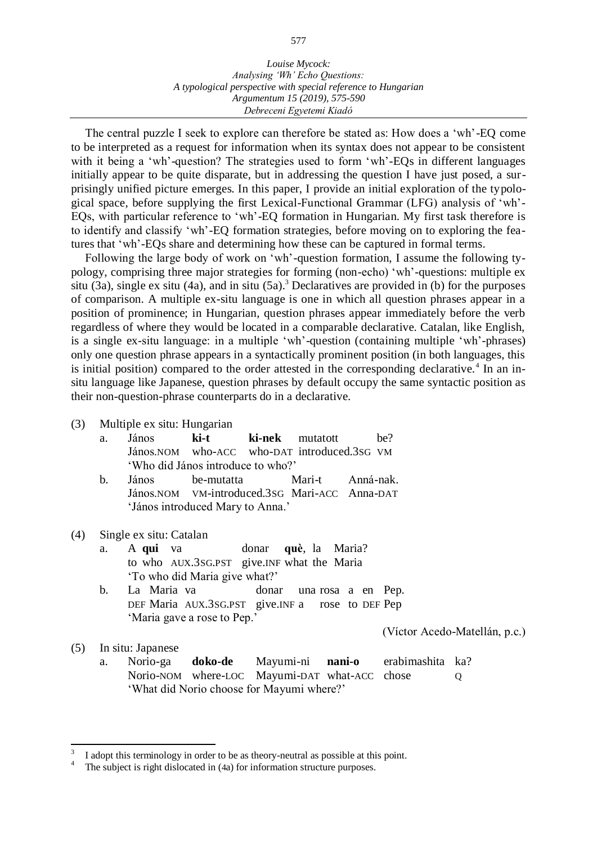The central puzzle I seek to explore can therefore be stated as: How does a 'wh'-EQ come to be interpreted as a request for information when its syntax does not appear to be consistent with it being a 'wh'-question? The strategies used to form 'wh'-EQs in different languages initially appear to be quite disparate, but in addressing the question I have just posed, a surprisingly unified picture emerges. In this paper, I provide an initial exploration of the typological space, before supplying the first Lexical-Functional Grammar (LFG) analysis of 'wh'- EQs, with particular reference to 'wh'-EQ formation in Hungarian. My first task therefore is to identify and classify 'wh'-EQ formation strategies, before moving on to exploring the features that 'wh'-EQs share and determining how these can be captured in formal terms.

Following the large body of work on 'wh'-question formation, I assume the following typology, comprising three major strategies for forming (non-echo) 'wh'-questions: multiple ex situ [\(3a](#page-2-0)), single ex situ [\(4a](#page-2-1)), and in situ [\(5a](#page-2-2)).<sup>3</sup> Declaratives are provided in (b) for the purposes of comparison. A multiple ex-situ language is one in which all question phrases appear in a position of prominence; in Hungarian, question phrases appear immediately before the verb regardless of where they would be located in a comparable declarative. Catalan, like English, is a single ex-situ language: in a multiple 'wh'-question (containing multiple 'wh'-phrases) only one question phrase appears in a syntactically prominent position (in both languages, this is initial position) compared to the order attested in the corresponding declarative.<sup>4</sup> In an insitu language like Japanese, question phrases by default occupy the same syntactic position as their non-question-phrase counterparts do in a declarative.

- <span id="page-2-0"></span>(3) Multiple ex situ: Hungarian
	- a. János **ki-t ki-nek** mutatott be? János.NOM who-ACC who-DAT introduced.3SG VM 'Who did János introduce to who?'
	- b. János be-mutatta Mari-t Anná-nak. János.NOM VM-introduced.3SG Mari-ACC Anna-DAT 'János introduced Mary to Anna.'

#### <span id="page-2-1"></span>(4) Single ex situ: Catalan

- a. A **qui** va donar **què**, la Maria? to who AUX.3SG.PST give.INF what the Maria 'To who did Maria give what?'
- b. La Maria va donar una rosa a en Pep. DEF Maria AUX.3SG.PST give.INF a rose to DEF Pep 'Maria gave a rose to Pep.'

(Víctor Acedo-Matellán, p.c.)

<span id="page-2-2"></span>(5) In situ: Japanese

 $\overline{a}$ 

a. Norio-ga **doko-de** Mayumi-ni **nani-o** erabimashita ka? Norio-NOM where-LOC Mayumi-DAT what-ACC chose Q 'What did Norio choose for Mayumi where?'

<sup>3</sup> I adopt this terminology in order to be as theory-neutral as possible at this point.

<sup>4</sup> The subject is right dislocated in ([4](#page-2-1)a) for information structure purposes.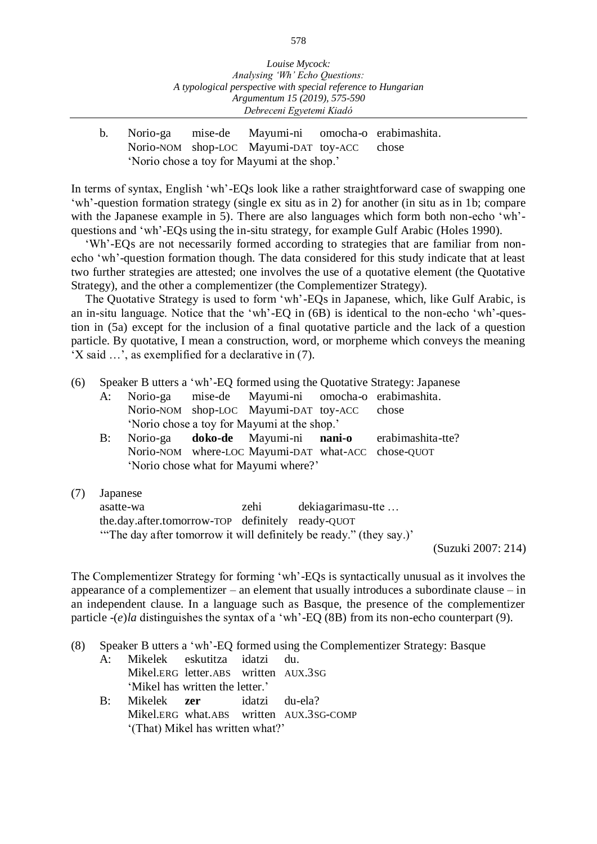- *Debreceni Egyetemi Kiadó*
- b. Norio-ga mise-de Mayumi-ni omocha-o erabimashita. Norio-NOM shop-LOC Mayumi-DAT toy-ACC chose 'Norio chose a toy for Mayumi at the shop.'

In terms of syntax, English 'wh'-EQs look like a rather straightforward case of swapping one 'wh'-question formation strategy (single ex situ as in [2\)](#page-1-1) for another (in situ as in [1b](#page-1-0); compare with the Japanese example in [5\)](#page-2-2). There are also languages which form both non-echo 'wh' questions and 'wh'-EQs using the in-situ strategy, for example Gulf Arabic (Holes 1990).

'Wh'-EQs are not necessarily formed according to strategies that are familiar from nonecho 'wh'-question formation though. The data considered for this study indicate that at least two further strategies are attested; one involves the use of a quotative element (the Quotative Strategy), and the other a complementizer (the Complementizer Strategy).

The Quotative Strategy is used to form 'wh'-EQs in Japanese, which, like Gulf Arabic, is an in-situ language. Notice that the 'wh'-EQ in [\(6B](#page-3-0)) is identical to the non-echo 'wh'-question in [\(5a](#page-2-2)) except for the inclusion of a final quotative particle and the lack of a question particle. By quotative, I mean a construction, word, or morpheme which conveys the meaning 'X said …', as exemplified for a declarative in [\(7\)](#page-3-1).

- <span id="page-3-0"></span>(6) Speaker B utters a 'wh'-EQ formed using the Quotative Strategy: Japanese
	- A: Norio-ga mise-de Mayumi-ni omocha-o erabimashita. Norio-NOM shop-LOC Mayumi-DAT toy-ACC chose 'Norio chose a toy for Mayumi at the shop.'
	- B: Norio-ga **doko-de** Mayumi-ni **nani-o** erabimashita-tte? Norio-NOM where-LOC Mayumi-DAT what-ACC chose-QUOT 'Norio chose what for Mayumi where?'
- <span id="page-3-1"></span>(7) Japanese

asatte-wa zehi dekiagarimasu-tte … the.day.after.tomorrow-TOP definitely ready-QUOT '"The day after tomorrow it will definitely be ready." (they say.)'

(Suzuki 2007: 214)

The Complementizer Strategy for forming 'wh'-EQs is syntactically unusual as it involves the appearance of a complementizer – an element that usually introduces a subordinate clause – in an independent clause. In a language such as Basque, the presence of the complementizer particle -(*e*)*la* distinguishes the syntax of a 'wh'-EQ [\(8B](#page-3-2)) from its non-echo counterpart [\(9\)](#page-4-0).

- <span id="page-3-2"></span>(8) Speaker B utters a 'wh'-EQ formed using the Complementizer Strategy: Basque
	- A: Mikelek eskutitza idatzi du. Mikel.ERG letter.ABS written AUX.3SG 'Mikel has written the letter.'
	- B: Mikelek **zer** idatzi du-ela? Mikel.ERG what.ABS written AUX.3SG-COMP '(That) Mikel has written what?'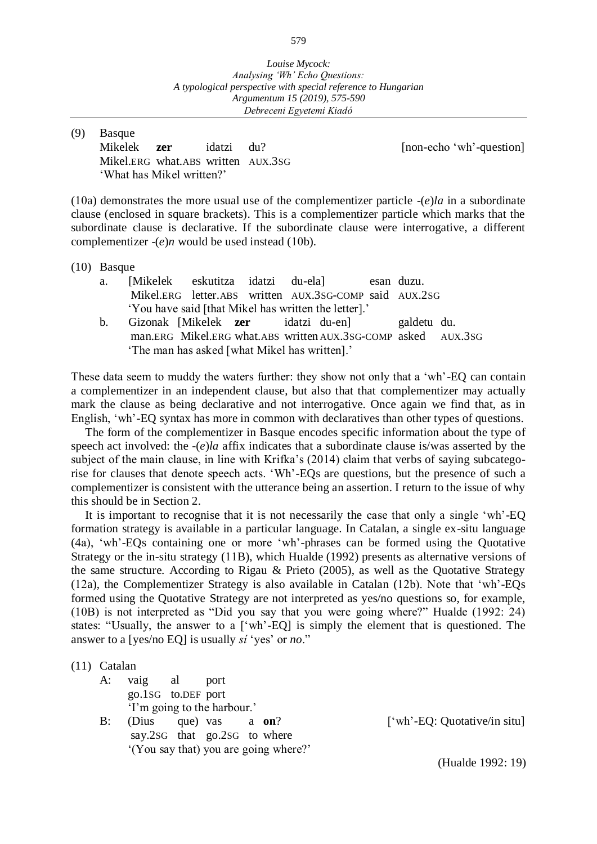<span id="page-4-0"></span>(9) Basque Mikelek **zer** idatzi du? [non-echo 'wh'-question] Mikel.ERG what.ABS written AUX.3SG 'What has Mikel written?'

([10](#page-4-1)a) demonstrates the more usual use of the complementizer particle -(*e*)*la* in a subordinate clause (enclosed in square brackets). This is a complementizer particle which marks that the subordinate clause is declarative. If the subordinate clause were interrogative, a different complementizer -(*e*)*n* would be used instead ([10](#page-4-1)b).

<span id="page-4-1"></span>(10) Basque

| a. [Mikelek eskutitza idatzi du-ela]                 |  |  |                                                        |  | esan duzu. |  |  |  |
|------------------------------------------------------|--|--|--------------------------------------------------------|--|------------|--|--|--|
|                                                      |  |  | Mikel.ERG letter.ABS written AUX.3SG-COMP said AUX.2SG |  |            |  |  |  |
| 'You have said [that Mikel has written the letter].' |  |  |                                                        |  |            |  |  |  |
|                                                      |  |  | h Gizonak Mikelek zer idatzi du-enl                    |  | aaldetu du |  |  |  |

b. Gizonak [Mikelek **zer** idatzi du-en] galdetu du. man.ERG Mikel.ERG what.ABS written AUX.3SG-COMP asked AUX.3SG 'The man has asked [what Mikel has written].'

These data seem to muddy the waters further: they show not only that a 'wh'-EQ can contain a complementizer in an independent clause, but also that that complementizer may actually mark the clause as being declarative and not interrogative. Once again we find that, as in English, 'wh'-EQ syntax has more in common with declaratives than other types of questions.

The form of the complementizer in Basque encodes specific information about the type of speech act involved: the *-*(*e*)*la* affix indicates that a subordinate clause is/was asserted by the subject of the main clause, in line with Krifka's (2014) claim that verbs of saying subcategorise for clauses that denote speech acts. 'Wh'-EQs are questions, but the presence of such a complementizer is consistent with the utterance being an assertion. I return to the issue of why this should be in Section 2.

It is important to recognise that it is not necessarily the case that only a single 'wh'-EQ formation strategy is available in a particular language. In Catalan, a single ex-situ language [\(4a](#page-2-1)), 'wh'-EQs containing one or more 'wh'-phrases can be formed using the Quotative Strategy or the in-situ strategy ([11](#page-4-2)B), which Hualde (1992) presents as alternative versions of the same structure. According to Rigau & Prieto (2005), as well as the Quotative Strategy ([12](#page-5-0)a), the Complementizer Strategy is also available in Catalan ([12](#page-5-0)b). Note that 'wh'-EQs formed using the Quotative Strategy are not interpreted as yes/no questions so, for example, (10B) is not interpreted as "Did you say that you were going where?" Hualde (1992: 24) states: "Usually, the answer to a ['wh'-EQ] is simply the element that is questioned. The answer to a [yes/no EQ] is usually *sí* 'yes' or *no*."

<span id="page-4-2"></span>

| $(11)$ Catalan |                             |                              |                                       |  |                              |
|----------------|-----------------------------|------------------------------|---------------------------------------|--|------------------------------|
| A:             | vaig al                     | port                         |                                       |  |                              |
|                | go.1sG to.DEF port          |                              |                                       |  |                              |
|                | 'I'm going to the harbour.' |                              |                                       |  |                              |
| $B$ :          | (Dius                       | que) vas a on?               |                                       |  | ['wh'-EQ: Quotative/in situ] |
|                |                             | say.2sG that go.2sG to where |                                       |  |                              |
|                |                             |                              | '(You say that) you are going where?' |  |                              |
|                |                             |                              |                                       |  | (Hualde 1992: 19)            |

579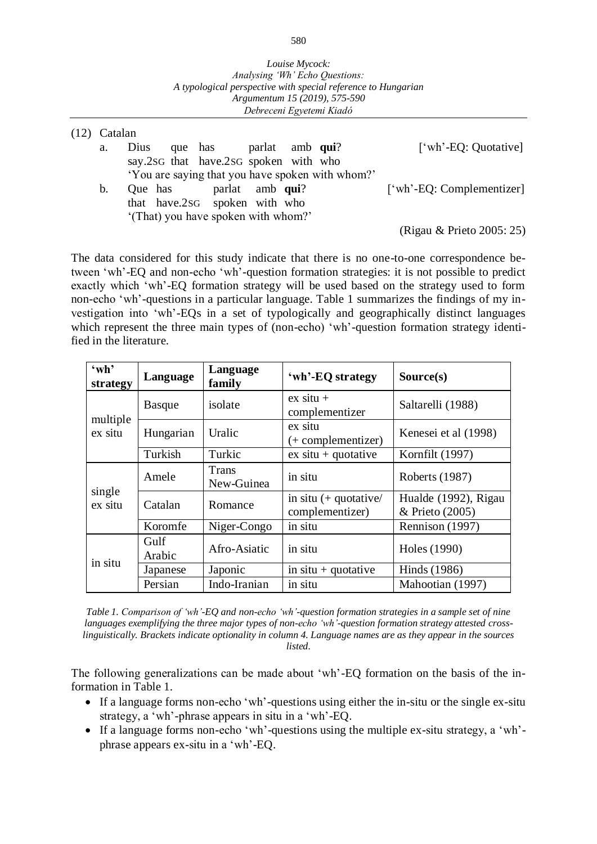<span id="page-5-0"></span>

| $(12)$ Catalan |      |                                       |  |                                                  |                           |
|----------------|------|---------------------------------------|--|--------------------------------------------------|---------------------------|
| a.             | Dius | que has parlat amb qui?               |  |                                                  | ['wh'-EQ: Quotative]      |
|                |      | say.2sG that have.2sG spoken with who |  |                                                  |                           |
|                |      |                                       |  | 'You are saying that you have spoken with whom?' |                           |
| b.             |      | Que has parlat amb qui?               |  |                                                  | ['wh'-EQ: Complementizer] |
|                |      | that have.2sG spoken with who         |  |                                                  |                           |
|                |      | '(That) you have spoken with whom?'   |  |                                                  |                           |
|                |      |                                       |  |                                                  | (Rigau & Prieto 2005: 25) |

The data considered for this study indicate that there is no one-to-one correspondence between 'wh'-EQ and non-echo 'wh'-question formation strategies: it is not possible to predict exactly which 'wh'-EQ formation strategy will be used based on the strategy used to form non-echo 'wh'-questions in a particular language. Table 1 summarizes the findings of my investigation into 'wh'-EQs in a set of typologically and geographically distinct languages which represent the three main types of (non-echo) 'wh'-question formation strategy identified in the literature.

| $\omega$ h'<br>strategy | Language                 | Language<br>family  | 'wh'-EQ strategy                           | Source(s)                               |
|-------------------------|--------------------------|---------------------|--------------------------------------------|-----------------------------------------|
|                         | isolate<br><b>Basque</b> |                     | $ex$ situ +<br>complementizer              | Saltarelli (1988)                       |
| multiple<br>ex situ     | Uralic<br>Hungarian      |                     | ex situ<br>$(+$ complementizer)            | Kenesei et al (1998)                    |
|                         | Turkish                  | Turkic              | $ex$ situ + quotative                      | Kornfilt (1997)                         |
|                         | Amele                    | Trans<br>New-Guinea | in situ                                    | Roberts (1987)                          |
| single<br>ex situ       | Catalan                  | Romance             | in situ $(+$ quotative/<br>complementizer) | Hualde (1992), Rigau<br>& Prieto (2005) |
|                         | Koromfe                  | Niger-Congo         | in situ                                    | Rennison (1997)                         |
| in situ                 | Gulf<br>Arabic           | Afro-Asiatic        | in situ                                    | Holes (1990)                            |
|                         | Japanese                 | Japonic             | in $situ + quotative$                      | Hinds (1986)                            |
|                         | Persian                  | Indo-Iranian        | in situ                                    | Mahootian (1997)                        |

*Table 1. Comparison of 'wh'-EQ and non-echo 'wh'-question formation strategies in a sample set of nine languages exemplifying the three major types of non-echo 'wh'-question formation strategy attested crosslinguistically. Brackets indicate optionality in column 4. Language names are as they appear in the sources listed.*

The following generalizations can be made about 'wh'-EQ formation on the basis of the information in Table 1.

- If a language forms non-echo 'wh'-questions using either the in-situ or the single ex-situ strategy, a 'wh'-phrase appears in situ in a 'wh'-EQ.
- If a language forms non-echo 'wh'-questions using the multiple ex-situ strategy, a 'wh' phrase appears ex-situ in a 'wh'-EQ.

580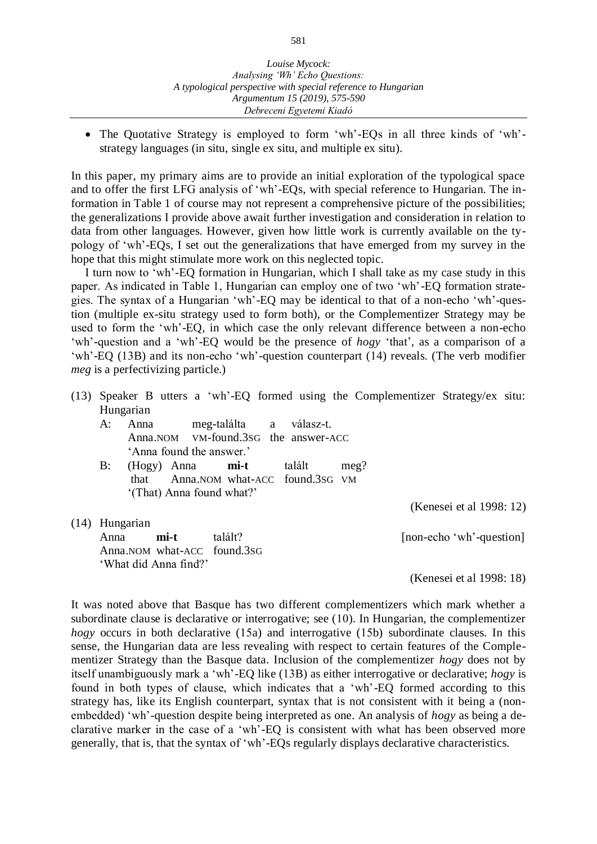#### *Debreceni Egyetemi Kiadó*

 The Quotative Strategy is employed to form 'wh'-EQs in all three kinds of 'wh' strategy languages (in situ, single ex situ, and multiple ex situ).

In this paper, my primary aims are to provide an initial exploration of the typological space and to offer the first LFG analysis of 'wh'-EQs, with special reference to Hungarian. The information in Table 1 of course may not represent a comprehensive picture of the possibilities; the generalizations I provide above await further investigation and consideration in relation to data from other languages. However, given how little work is currently available on the typology of 'wh'-EQs, I set out the generalizations that have emerged from my survey in the hope that this might stimulate more work on this neglected topic.

I turn now to 'wh'-EQ formation in Hungarian, which I shall take as my case study in this paper. As indicated in Table 1, Hungarian can employ one of two 'wh'-EQ formation strategies. The syntax of a Hungarian 'wh'-EQ may be identical to that of a non-echo 'wh'-question (multiple ex-situ strategy used to form both), or the Complementizer Strategy may be used to form the 'wh'-EQ, in which case the only relevant difference between a non-echo 'wh'-question and a 'wh'-EQ would be the presence of *hogy* 'that', as a comparison of a 'wh'-EQ ([13](#page-6-0)B) and its non-echo 'wh'-question counterpart ([14](#page-6-1)) reveals. (The verb modifier *meg* is a perfectivizing particle.)

<span id="page-6-0"></span>(13) Speaker B utters a 'wh'-EQ formed using the Complementizer Strategy/ex situ: Hungarian A: Anna meg-találta a válasz-t.

|                  |                  | Anna. NOM VM-found. 3sG the answer-ACC<br>'Anna found the answer.' |                                                                                               |        |      |                          |
|------------------|------------------|--------------------------------------------------------------------|-----------------------------------------------------------------------------------------------|--------|------|--------------------------|
| B:               |                  |                                                                    | $(Hogy)$ Anna <b>mi-t</b><br>that Anna.NOM what-ACC found.3sG VM<br>'(That) Anna found what?' | talált | meg? |                          |
|                  |                  |                                                                    |                                                                                               |        |      | (Kenesei et al 1998: 12) |
| $(14)$ Hungarian |                  |                                                                    |                                                                                               |        |      |                          |
|                  | Anna <b>mi-t</b> |                                                                    | talált?                                                                                       |        |      | [non-echo 'wh'-question] |
|                  |                  |                                                                    | Anna.NOM what-ACC found.3sG                                                                   |        |      |                          |
|                  |                  | 'What did Anna find?'                                              |                                                                                               |        |      |                          |

(Kenesei et al 1998: 18)

<span id="page-6-1"></span>It was noted above that Basque has two different complementizers which mark whether a subordinate clause is declarative or interrogative; see ([10](#page-4-1)). In Hungarian, the complementizer *hogy* occurs in both declarative ([15](#page-7-0)a) and interrogative (15b) subordinate clauses. In this sense, the Hungarian data are less revealing with respect to certain features of the Complementizer Strategy than the Basque data. Inclusion of the complementizer *hogy* does not by itself unambiguously mark a 'wh'-EQ like ([13](#page-6-0)B) as either interrogative or declarative; *hogy* is found in both types of clause, which indicates that a 'wh'-EQ formed according to this strategy has, like its English counterpart, syntax that is not consistent with it being a (nonembedded) 'wh'-question despite being interpreted as one. An analysis of *hogy* as being a declarative marker in the case of a 'wh'-EQ is consistent with what has been observed more generally, that is, that the syntax of 'wh'-EQs regularly displays declarative characteristics.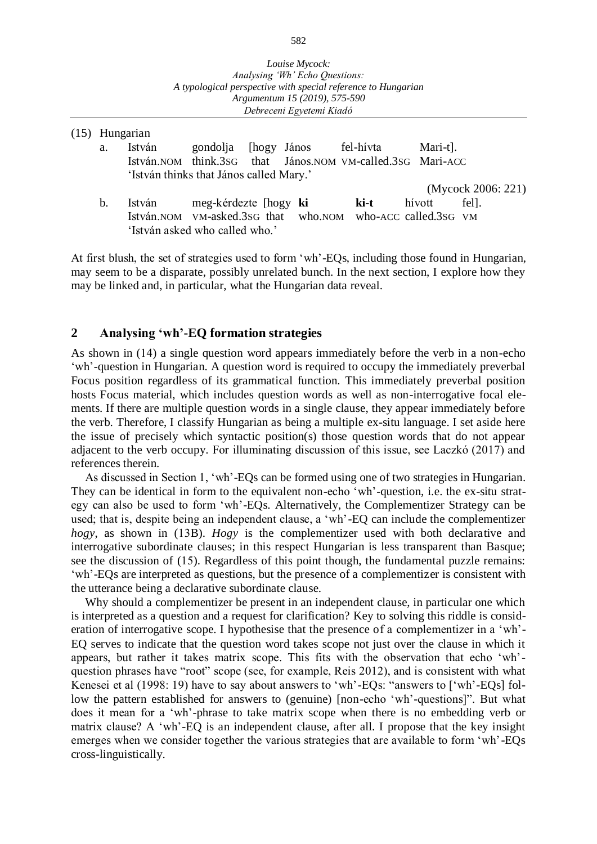|    | Hungarian                               |                       |                        |                                                                |          |                    |  |
|----|-----------------------------------------|-----------------------|------------------------|----------------------------------------------------------------|----------|--------------------|--|
| a. | István                                  | gondolja              | [hogy János fel-hívta] |                                                                | Mari-t]. |                    |  |
|    |                                         |                       |                        | István. NOM think. 3sG that János. NOM VM-called. 3sG Mari-ACC |          |                    |  |
|    | 'István thinks that János called Mary.' |                       |                        |                                                                |          |                    |  |
|    |                                         |                       |                        |                                                                |          | (Mycock 2006: 221) |  |
| b. | István                                  | meg-kérdezte [hogy ki |                        | ki-t                                                           | hívott   | fel.               |  |
|    |                                         |                       |                        | István.NOM VM-asked.3sG that who.NOM who-ACC called.3sG VM     |          |                    |  |
|    | 'István asked who called who.'          |                       |                        |                                                                |          |                    |  |

At first blush, the set of strategies used to form 'wh'-EQs, including those found in Hungarian, may seem to be a disparate, possibly unrelated bunch. In the next section, I explore how they may be linked and, in particular, what the Hungarian data reveal.

### **2 Analysing 'wh'-EQ formation strategies**

<span id="page-7-0"></span> $(15)$ 

As shown in ([14](#page-6-1)) a single question word appears immediately before the verb in a non-echo 'wh'-question in Hungarian. A question word is required to occupy the immediately preverbal Focus position regardless of its grammatical function. This immediately preverbal position hosts Focus material, which includes question words as well as non-interrogative focal elements. If there are multiple question words in a single clause, they appear immediately before the verb. Therefore, I classify Hungarian as being a multiple ex-situ language. I set aside here the issue of precisely which syntactic position(s) those question words that do not appear adjacent to the verb occupy. For illuminating discussion of this issue, see Laczkó (2017) and references therein.

As discussed in Section 1, 'wh'-EQs can be formed using one of two strategies in Hungarian. They can be identical in form to the equivalent non-echo 'wh'-question, i.e. the ex-situ strategy can also be used to form 'wh'-EQs. Alternatively, the Complementizer Strategy can be used; that is, despite being an independent clause, a 'wh'-EQ can include the complementizer *hogy*, as shown in ([13](#page-6-0)B). *Hogy* is the complementizer used with both declarative and interrogative subordinate clauses; in this respect Hungarian is less transparent than Basque; see the discussion of ([15](#page-7-0)). Regardless of this point though, the fundamental puzzle remains: 'wh'-EQs are interpreted as questions, but the presence of a complementizer is consistent with the utterance being a declarative subordinate clause.

Why should a complementizer be present in an independent clause, in particular one which is interpreted as a question and a request for clarification? Key to solving this riddle is consideration of interrogative scope. I hypothesise that the presence of a complementizer in a 'wh'- EQ serves to indicate that the question word takes scope not just over the clause in which it appears, but rather it takes matrix scope. This fits with the observation that echo 'wh' question phrases have "root" scope (see, for example, Reis 2012), and is consistent with what Kenesei et al (1998: 19) have to say about answers to 'wh'-EQs: "answers to ['wh'-EQs] follow the pattern established for answers to (genuine) [non-echo 'wh'-questions]". But what does it mean for a 'wh'-phrase to take matrix scope when there is no embedding verb or matrix clause? A 'wh'-EQ is an independent clause, after all. I propose that the key insight emerges when we consider together the various strategies that are available to form 'wh'-EQs cross-linguistically.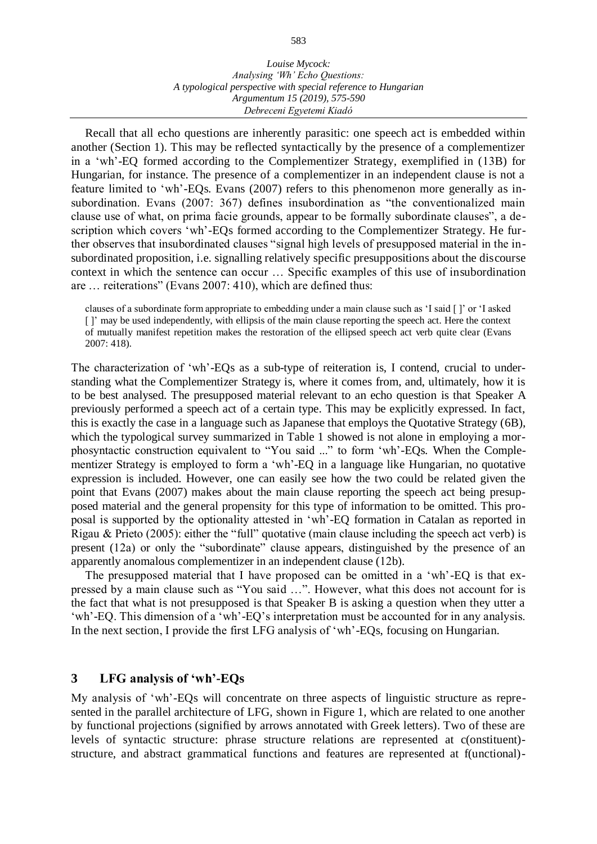Recall that all echo questions are inherently parasitic: one speech act is embedded within another (Section 1). This may be reflected syntactically by the presence of a complementizer in a 'wh'-EQ formed according to the Complementizer Strategy, exemplified in ([13](#page-6-0)B) for Hungarian, for instance. The presence of a complementizer in an independent clause is not a feature limited to 'wh'-EQs. Evans (2007) refers to this phenomenon more generally as insubordination. Evans (2007: 367) defines insubordination as "the conventionalized main clause use of what, on prima facie grounds, appear to be formally subordinate clauses", a description which covers 'wh'-EQs formed according to the Complementizer Strategy. He further observes that insubordinated clauses "signal high levels of presupposed material in the insubordinated proposition, i.e. signalling relatively specific presuppositions about the discourse context in which the sentence can occur … Specific examples of this use of insubordination are … reiterations" (Evans 2007: 410), which are defined thus:

clauses of a subordinate form appropriate to embedding under a main clause such as 'I said [ ]' or 'I asked [ ]' may be used independently, with ellipsis of the main clause reporting the speech act. Here the context of mutually manifest repetition makes the restoration of the ellipsed speech act verb quite clear (Evans 2007: 418).

The characterization of 'wh'-EQs as a sub-type of reiteration is, I contend, crucial to understanding what the Complementizer Strategy is, where it comes from, and, ultimately, how it is to be best analysed. The presupposed material relevant to an echo question is that Speaker A previously performed a speech act of a certain type. This may be explicitly expressed. In fact, this is exactly the case in a language such as Japanese that employs the Quotative Strategy [\(6B](#page-3-0)), which the typological survey summarized in Table 1 showed is not alone in employing a morphosyntactic construction equivalent to "You said ..." to form 'wh'-EQs. When the Complementizer Strategy is employed to form a 'wh'-EQ in a language like Hungarian, no quotative expression is included. However, one can easily see how the two could be related given the point that Evans (2007) makes about the main clause reporting the speech act being presupposed material and the general propensity for this type of information to be omitted. This proposal is supported by the optionality attested in 'wh'-EQ formation in Catalan as reported in Rigau & Prieto (2005): either the "full" quotative (main clause including the speech act verb) is present ([12](#page-5-0)a) or only the "subordinate" clause appears, distinguished by the presence of an apparently anomalous complementizer in an independent clause ([12](#page-5-0)b).

The presupposed material that I have proposed can be omitted in a 'wh'-EQ is that expressed by a main clause such as "You said …". However, what this does not account for is the fact that what is not presupposed is that Speaker B is asking a question when they utter a 'wh'-EQ. This dimension of a 'wh'-EQ's interpretation must be accounted for in any analysis. In the next section, I provide the first LFG analysis of 'wh'-EQs, focusing on Hungarian.

## **3 LFG analysis of 'wh'-EQs**

My analysis of 'wh'-EQs will concentrate on three aspects of linguistic structure as represented in the parallel architecture of LFG, shown in Figure 1, which are related to one another by functional projections (signified by arrows annotated with Greek letters). Two of these are levels of syntactic structure: phrase structure relations are represented at c(onstituent) structure, and abstract grammatical functions and features are represented at f(unctional)-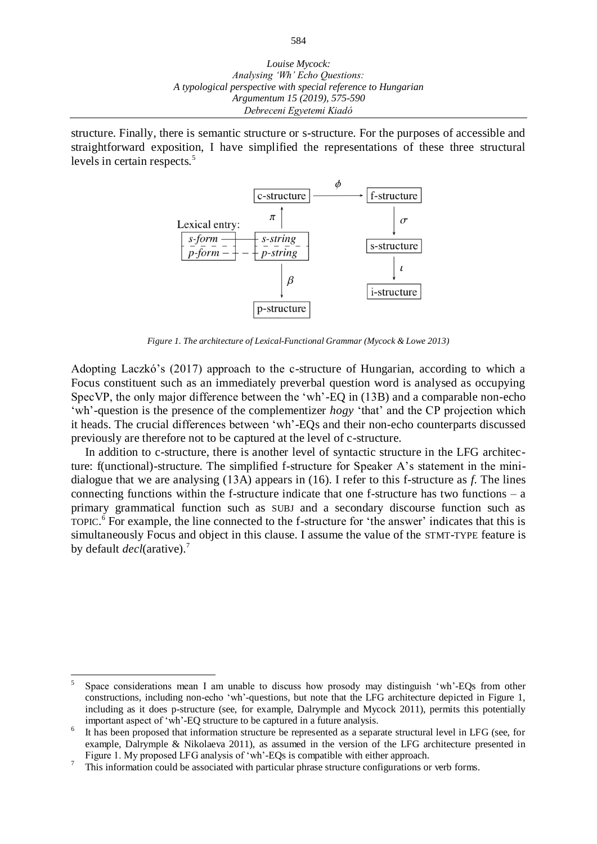structure. Finally, there is semantic structure or s-structure. For the purposes of accessible and straightforward exposition, I have simplified the representations of these three structural levels in certain respects.<sup>5</sup>



*Figure 1. The architecture of Lexical-Functional Grammar (Mycock & Lowe 2013)*

Adopting Laczkó's (2017) approach to the c-structure of Hungarian, according to which a Focus constituent such as an immediately preverbal question word is analysed as occupying SpecVP, the only major difference between the 'wh'-EQ in ([13](#page-6-0)B) and a comparable non-echo 'wh'-question is the presence of the complementizer *hogy* 'that' and the CP projection which it heads. The crucial differences between 'wh'-EQs and their non-echo counterparts discussed previously are therefore not to be captured at the level of c-structure.

In addition to c-structure, there is another level of syntactic structure in the LFG architecture: f(unctional)-structure. The simplified f-structure for Speaker A's statement in the minidialogue that we are analysing ([13](#page-6-0)A) appears in (16). I refer to this f-structure as *f*. The lines connecting functions within the f-structure indicate that one f-structure has two functions  $-$  a primary grammatical function such as SUBJ and a secondary discourse function such as TOPIC.<sup>6</sup> For example, the line connected to the f-structure for 'the answer' indicates that this is simultaneously Focus and object in this clause. I assume the value of the STMT-TYPE feature is by default *decl*(arative).<sup>7</sup>

l

<sup>5</sup> Space considerations mean I am unable to discuss how prosody may distinguish 'wh'-EQs from other constructions, including non-echo 'wh'-questions, but note that the LFG architecture depicted in Figure 1, including as it does p-structure (see, for example, Dalrymple and Mycock 2011), permits this potentially important aspect of 'wh'-EQ structure to be captured in a future analysis.

<sup>6</sup> It has been proposed that information structure be represented as a separate structural level in LFG (see, for example, Dalrymple & Nikolaeva 2011), as assumed in the version of the LFG architecture presented in Figure 1. My proposed LFG analysis of 'wh'-EQs is compatible with either approach.

<sup>7</sup> This information could be associated with particular phrase structure configurations or verb forms.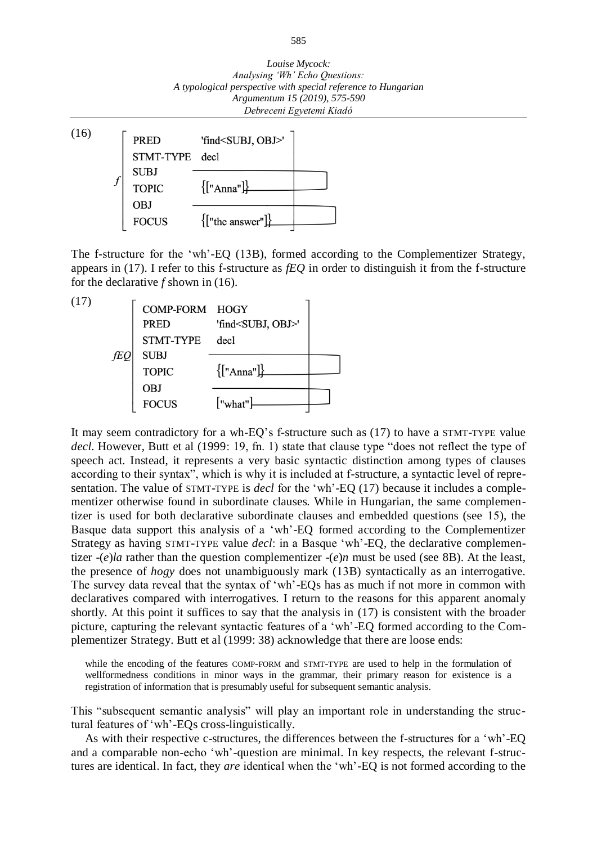*Louise Mycock: Analysing 'Wh' Echo Questions: A typological perspective with special reference to Hungarian Argumentum 15 (2019), 575-590 Debreceni Egyetemi Kiadó*



The f-structure for the 'wh'-EQ ([13](#page-6-0)B), formed according to the Complementizer Strategy, appears in (17). I refer to this f-structure as *fEQ* in order to distinguish it from the f-structure for the declarative *f* shown in (16).

(17)



It may seem contradictory for a wh-EQ's f-structure such as (17) to have a STMT-TYPE value *decl*. However, Butt et al (1999: 19, fn. 1) state that clause type "does not reflect the type of speech act. Instead, it represents a very basic syntactic distinction among types of clauses according to their syntax", which is why it is included at f-structure, a syntactic level of representation. The value of STMT-TYPE is *decl* for the 'wh'-EQ (17) because it includes a complementizer otherwise found in subordinate clauses. While in Hungarian, the same complementizer is used for both declarative subordinate clauses and embedded questions (see [15](#page-7-0)), the Basque data support this analysis of a 'wh'-EQ formed according to the Complementizer Strategy as having STMT-TYPE value *decl*: in a Basque 'wh'-EQ, the declarative complementizer -(*e*)*la* rather than the question complementizer -(*e*)*n* must be used (see [8B](#page-3-2)). At the least, the presence of *hogy* does not unambiguously mark ([13](#page-6-0)B) syntactically as an interrogative. The survey data reveal that the syntax of 'wh'-EQs has as much if not more in common with declaratives compared with interrogatives. I return to the reasons for this apparent anomaly shortly. At this point it suffices to say that the analysis in (17) is consistent with the broader picture, capturing the relevant syntactic features of a 'wh'-EQ formed according to the Complementizer Strategy. Butt et al (1999: 38) acknowledge that there are loose ends:

while the encoding of the features COMP-FORM and STMT-TYPE are used to help in the formulation of wellformedness conditions in minor ways in the grammar, their primary reason for existence is a registration of information that is presumably useful for subsequent semantic analysis.

This "subsequent semantic analysis" will play an important role in understanding the structural features of 'wh'-EQs cross-linguistically.

As with their respective c-structures, the differences between the f-structures for a 'wh'-EQ and a comparable non-echo 'wh'-question are minimal. In key respects, the relevant f-structures are identical. In fact, they *are* identical when the 'wh'-EQ is not formed according to the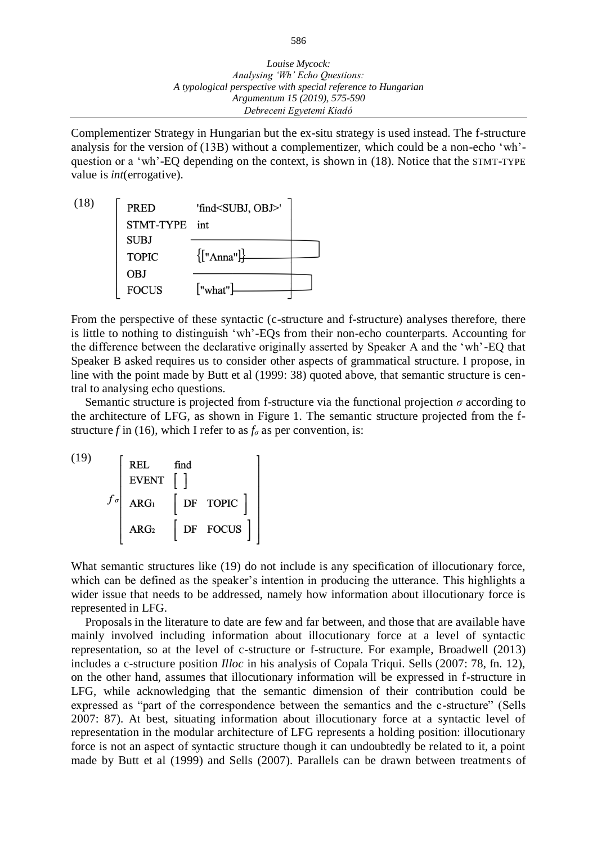*Argumentum 15 (2019), 575-590 Debreceni Egyetemi Kiadó*

Complementizer Strategy in Hungarian but the ex-situ strategy is used instead. The f-structure analysis for the version of ([13](#page-6-0)B) without a complementizer, which could be a non-echo 'wh' question or a 'wh'-EQ depending on the context, is shown in (18). Notice that the STMT-TYPE value is *int*(errogative).



From the perspective of these syntactic (c-structure and f-structure) analyses therefore, there is little to nothing to distinguish 'wh'-EQs from their non-echo counterparts. Accounting for the difference between the declarative originally asserted by Speaker A and the 'wh'-EQ that Speaker B asked requires us to consider other aspects of grammatical structure. I propose, in line with the point made by Butt et al (1999: 38) quoted above, that semantic structure is central to analysing echo questions.

Semantic structure is projected from f-structure via the functional projection *σ* according to the architecture of LFG, as shown in Figure 1. The semantic structure projected from the fstructure *f* in (16), which I refer to as  $f_\sigma$  as per convention, is:

| (19) |                | <b>REL</b><br><b>EVENT</b> | find |          |
|------|----------------|----------------------------|------|----------|
|      | $f_{\sigma^1}$ | ARG <sub>1</sub>           |      | DF TOPIC |
|      |                | ARG <sub>2</sub>           |      | DF FOCUS |

What semantic structures like (19) do not include is any specification of illocutionary force, which can be defined as the speaker's intention in producing the utterance. This highlights a wider issue that needs to be addressed, namely how information about illocutionary force is represented in LFG.

Proposals in the literature to date are few and far between, and those that are available have mainly involved including information about illocutionary force at a level of syntactic representation, so at the level of c-structure or f-structure. For example, Broadwell (2013) includes a c-structure position *Illoc* in his analysis of Copala Triqui. Sells (2007: 78, fn. 12), on the other hand, assumes that illocutionary information will be expressed in f-structure in LFG, while acknowledging that the semantic dimension of their contribution could be expressed as "part of the correspondence between the semantics and the c-structure" (Sells 2007: 87). At best, situating information about illocutionary force at a syntactic level of representation in the modular architecture of LFG represents a holding position: illocutionary force is not an aspect of syntactic structure though it can undoubtedly be related to it, a point made by Butt et al (1999) and Sells (2007). Parallels can be drawn between treatments of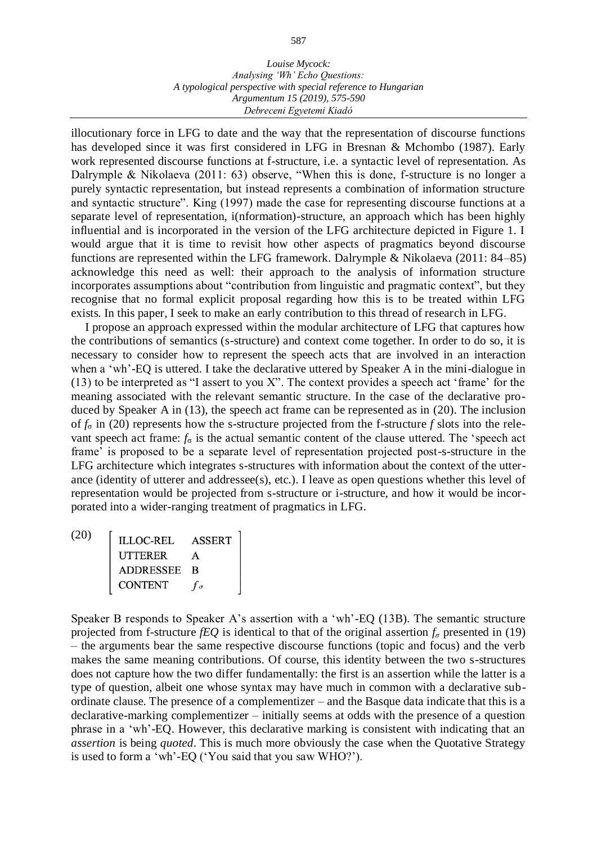#### *Louise Mycock: Analysing 'Wh' Echo Questions: A typological perspective with special reference to Hungarian Argumentum 15 (2019), 575-590 Debreceni Egyetemi Kiadó*

illocutionary force in LFG to date and the way that the representation of discourse functions has developed since it was first considered in LFG in Bresnan & Mchombo (1987). Early work represented discourse functions at f-structure, i.e. a syntactic level of representation. As Dalrymple & Nikolaeva (2011: 63) observe, "When this is done, f-structure is no longer a purely syntactic representation, but instead represents a combination of information structure and syntactic structure". King (1997) made the case for representing discourse functions at a separate level of representation, i(nformation)-structure, an approach which has been highly influential and is incorporated in the version of the LFG architecture depicted in Figure 1. I would argue that it is time to revisit how other aspects of pragmatics beyond discourse functions are represented within the LFG framework. Dalrymple & Nikolaeva (2011: 84–85) acknowledge this need as well: their approach to the analysis of information structure incorporates assumptions about "contribution from linguistic and pragmatic context", but they recognise that no formal explicit proposal regarding how this is to be treated within LFG exists. In this paper, I seek to make an early contribution to this thread of research in LFG.

I propose an approach expressed within the modular architecture of LFG that captures how the contributions of semantics (s-structure) and context come together. In order to do so, it is necessary to consider how to represent the speech acts that are involved in an interaction when a 'wh'-EQ is uttered. I take the declarative uttered by Speaker A in the mini-dialogue in ([13](#page-6-0)) to be interpreted as "I assert to you X". The context provides a speech act 'frame' for the meaning associated with the relevant semantic structure. In the case of the declarative produced by Speaker A in (13), the speech act frame can be represented as in (20). The inclusion of *f*<sup>σ</sup> in (20) represents how the s-structure projected from the f-structure *f* slots into the relevant speech act frame:  $f_{\sigma}$  is the actual semantic content of the clause uttered. The 'speech act frame' is proposed to be a separate level of representation projected post-s-structure in the LFG architecture which integrates s-structures with information about the context of the utterance (identity of utterer and addressee(s), etc.). I leave as open questions whether this level of representation would be projected from s-structure or i-structure, and how it would be incorporated into a wider-ranging treatment of pragmatics in LFG.

 $\begin{tabular}{ll} LLOC-REL & ASSERT \\ \hline \texttt{UTTERER} & A \\ \texttt{ADDRESSEE} & B \\ \texttt{CONTENT} & f_\sigma \end{tabular}$ (20)

Speaker B responds to Speaker A's assertion with a 'wh'-EQ ([13](#page-6-0)B). The semantic structure projected from f-structure *fEQ* is identical to that of the original assertion  $f_\sigma$  presented in (19) – the arguments bear the same respective discourse functions (topic and focus) and the verb makes the same meaning contributions. Of course, this identity between the two s-structures does not capture how the two differ fundamentally: the first is an assertion while the latter is a type of question, albeit one whose syntax may have much in common with a declarative subordinate clause. The presence of a complementizer – and the Basque data indicate that this is a declarative-marking complementizer – initially seems at odds with the presence of a question phrase in a 'wh'-EQ. However, this declarative marking is consistent with indicating that an *assertion* is being *quoted*. This is much more obviously the case when the Quotative Strategy is used to form a 'wh'-EQ ('You said that you saw WHO?').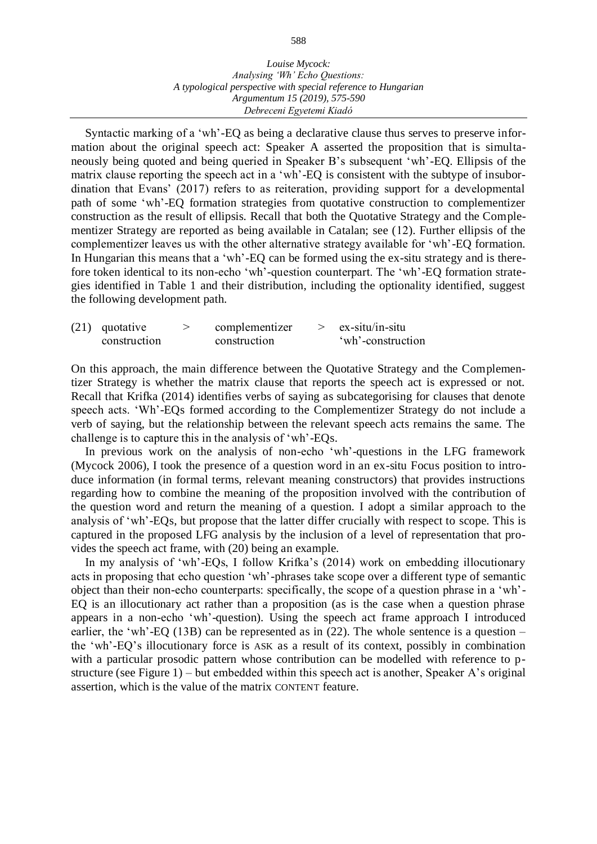Syntactic marking of a 'wh'-EQ as being a declarative clause thus serves to preserve information about the original speech act: Speaker A asserted the proposition that is simultaneously being quoted and being queried in Speaker B's subsequent 'wh'-EQ. Ellipsis of the matrix clause reporting the speech act in a 'wh'-EQ is consistent with the subtype of insubordination that Evans' (2017) refers to as reiteration, providing support for a developmental path of some 'wh'-EQ formation strategies from quotative construction to complementizer construction as the result of ellipsis. Recall that both the Quotative Strategy and the Complementizer Strategy are reported as being available in Catalan; see ([12](#page-5-0)). Further ellipsis of the complementizer leaves us with the other alternative strategy available for 'wh'-EQ formation. In Hungarian this means that a 'wh'-EQ can be formed using the ex-situ strategy and is therefore token identical to its non-echo 'wh'-question counterpart. The 'wh'-EQ formation strategies identified in Table 1 and their distribution, including the optionality identified, suggest the following development path.

| $(21)$ quotative | complementizer | $ex-situ/in-situ$ |
|------------------|----------------|-------------------|
| construction     | construction   | 'wh'-construction |

On this approach, the main difference between the Quotative Strategy and the Complementizer Strategy is whether the matrix clause that reports the speech act is expressed or not. Recall that Krifka (2014) identifies verbs of saying as subcategorising for clauses that denote speech acts. 'Wh'-EQs formed according to the Complementizer Strategy do not include a verb of saying, but the relationship between the relevant speech acts remains the same. The challenge is to capture this in the analysis of 'wh'-EQs.

In previous work on the analysis of non-echo 'wh'-questions in the LFG framework (Mycock 2006), I took the presence of a question word in an ex-situ Focus position to introduce information (in formal terms, relevant meaning constructors) that provides instructions regarding how to combine the meaning of the proposition involved with the contribution of the question word and return the meaning of a question. I adopt a similar approach to the analysis of 'wh'-EQs, but propose that the latter differ crucially with respect to scope. This is captured in the proposed LFG analysis by the inclusion of a level of representation that provides the speech act frame, with (20) being an example.

In my analysis of 'wh'-EQs, I follow Krifka's (2014) work on embedding illocutionary acts in proposing that echo question 'wh'-phrases take scope over a different type of semantic object than their non-echo counterparts: specifically, the scope of a question phrase in a 'wh'- EQ is an illocutionary act rather than a proposition (as is the case when a question phrase appears in a non-echo 'wh'-question). Using the speech act frame approach I introduced earlier, the 'wh'-EQ ([13](#page-6-0)B) can be represented as in (22). The whole sentence is a question – the 'wh'-EQ's illocutionary force is ASK as a result of its context, possibly in combination with a particular prosodic pattern whose contribution can be modelled with reference to pstructure (see Figure 1) – but embedded within this speech act is another, Speaker A's original assertion, which is the value of the matrix CONTENT feature.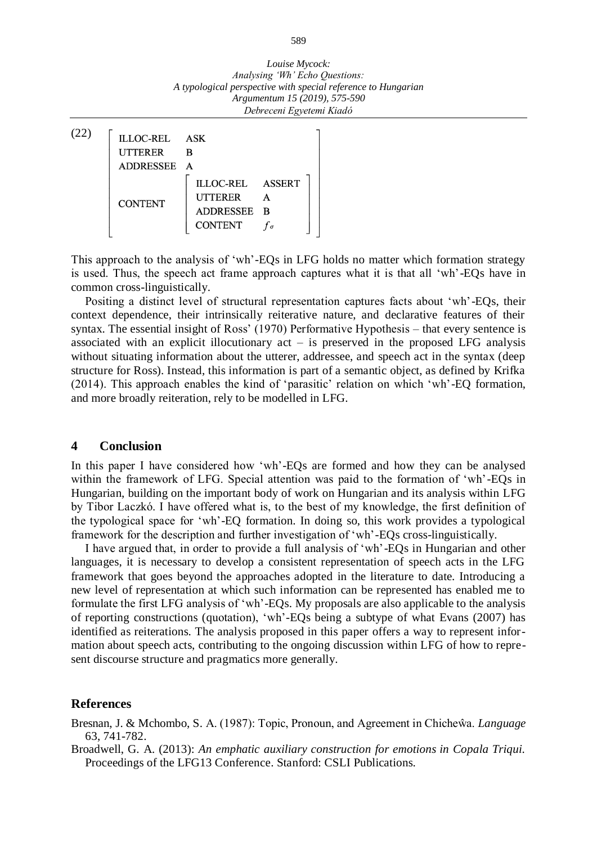| ILLOC-REL ASK  |                                                                     |  |
|----------------|---------------------------------------------------------------------|--|
| <b>UTTERER</b> | B                                                                   |  |
| ADDRESSEE A    |                                                                     |  |
| <b>CONTENT</b> | ILLOC-REL ASSERT<br><b>UTTERER</b><br>ADDRESSEE B<br><b>CONTENT</b> |  |

This approach to the analysis of 'wh'-EQs in LFG holds no matter which formation strategy is used. Thus, the speech act frame approach captures what it is that all 'wh'-EQs have in common cross-linguistically.

Positing a distinct level of structural representation captures facts about 'wh'-EQs, their context dependence, their intrinsically reiterative nature, and declarative features of their syntax. The essential insight of Ross' (1970) Performative Hypothesis – that every sentence is associated with an explicit illocutionary  $act - is$  preserved in the proposed LFG analysis without situating information about the utterer, addressee, and speech act in the syntax (deep structure for Ross). Instead, this information is part of a semantic object, as defined by Krifka (2014). This approach enables the kind of 'parasitic' relation on which 'wh'-EQ formation, and more broadly reiteration, rely to be modelled in LFG.

### **4 Conclusion**

In this paper I have considered how 'wh'-EQs are formed and how they can be analysed within the framework of LFG. Special attention was paid to the formation of 'wh'-EQs in Hungarian, building on the important body of work on Hungarian and its analysis within LFG by Tibor Laczkó. I have offered what is, to the best of my knowledge, the first definition of the typological space for 'wh'-EQ formation. In doing so, this work provides a typological framework for the description and further investigation of 'wh'-EQs cross-linguistically.

I have argued that, in order to provide a full analysis of 'wh'-EQs in Hungarian and other languages, it is necessary to develop a consistent representation of speech acts in the LFG framework that goes beyond the approaches adopted in the literature to date. Introducing a new level of representation at which such information can be represented has enabled me to formulate the first LFG analysis of 'wh'-EQs. My proposals are also applicable to the analysis of reporting constructions (quotation), 'wh'-EQs being a subtype of what Evans (2007) has identified as reiterations. The analysis proposed in this paper offers a way to represent information about speech acts, contributing to the ongoing discussion within LFG of how to represent discourse structure and pragmatics more generally.

#### **References**

Bresnan, J. & Mchombo, S. A. (1987): Topic, Pronoun, and Agreement in Chicheŵa. *Language* 63, 741-782.

Broadwell, G. A. (2013): *An emphatic auxiliary construction for emotions in Copala Triqui.* Proceedings of the LFG13 Conference. Stanford: CSLI Publications.